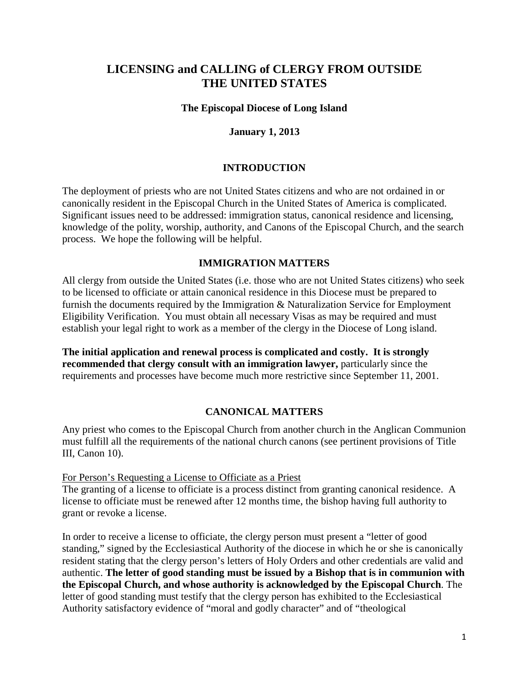# **LICENSING and CALLING of CLERGY FROM OUTSIDE THE UNITED STATES**

### **The Episcopal Diocese of Long Island**

### **January 1, 2013**

### **INTRODUCTION**

The deployment of priests who are not United States citizens and who are not ordained in or canonically resident in the Episcopal Church in the United States of America is complicated. Significant issues need to be addressed: immigration status, canonical residence and licensing, knowledge of the polity, worship, authority, and Canons of the Episcopal Church, and the search process. We hope the following will be helpful.

#### **IMMIGRATION MATTERS**

All clergy from outside the United States (i.e. those who are not United States citizens) who seek to be licensed to officiate or attain canonical residence in this Diocese must be prepared to furnish the documents required by the Immigration & Naturalization Service for Employment Eligibility Verification. You must obtain all necessary Visas as may be required and must establish your legal right to work as a member of the clergy in the Diocese of Long island.

**The initial application and renewal process is complicated and costly. It is strongly recommended that clergy consult with an immigration lawyer,** particularly since the requirements and processes have become much more restrictive since September 11, 2001.

### **CANONICAL MATTERS**

Any priest who comes to the Episcopal Church from another church in the Anglican Communion must fulfill all the requirements of the national church canons (see pertinent provisions of Title III, Canon 10).

#### For Person's Requesting a License to Officiate as a Priest

The granting of a license to officiate is a process distinct from granting canonical residence. A license to officiate must be renewed after 12 months time, the bishop having full authority to grant or revoke a license.

In order to receive a license to officiate, the clergy person must present a "letter of good standing," signed by the Ecclesiastical Authority of the diocese in which he or she is canonically resident stating that the clergy person's letters of Holy Orders and other credentials are valid and authentic. **The letter of good standing must be issued by a Bishop that is in communion with the Episcopal Church, and whose authority is acknowledged by the Episcopal Church**. The letter of good standing must testify that the clergy person has exhibited to the Ecclesiastical Authority satisfactory evidence of "moral and godly character" and of "theological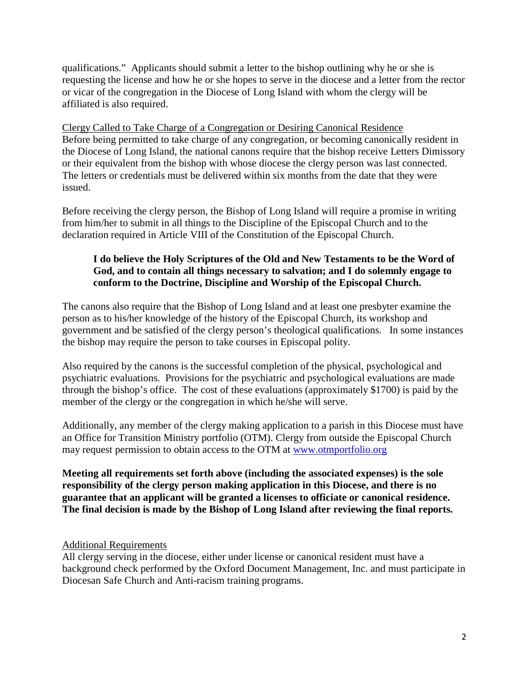qualifications." Applicants should submit a letter to the bishop outlining why he or she is requesting the license and how he or she hopes to serve in the diocese and a letter from the rector or vicar of the congregation in the Diocese of Long Island with whom the clergy will be affiliated is also required.

Clergy Called to Take Charge of a Congregation or Desiring Canonical Residence Before being permitted to take charge of any congregation, or becoming canonically resident in the Diocese of Long Island, the national canons require that the bishop receive Letters Dimissory or their equivalent from the bishop with whose diocese the clergy person was last connected. The letters or credentials must be delivered within six months from the date that they were issued.

Before receiving the clergy person, the Bishop of Long Island will require a promise in writing from him/her to submit in all things to the Discipline of the Episcopal Church and to the declaration required in Article VIII of the Constitution of the Episcopal Church.

# **I do believe the Holy Scriptures of the Old and New Testaments to be the Word of God, and to contain all things necessary to salvation; and I do solemnly engage to conform to the Doctrine, Discipline and Worship of the Episcopal Church.**

The canons also require that the Bishop of Long Island and at least one presbyter examine the person as to his/her knowledge of the history of the Episcopal Church, its workshop and government and be satisfied of the clergy person's theological qualifications. In some instances the bishop may require the person to take courses in Episcopal polity.

Also required by the canons is the successful completion of the physical, psychological and psychiatric evaluations. Provisions for the psychiatric and psychological evaluations are made through the bishop's office. The cost of these evaluations (approximately \$1700) is paid by the member of the clergy or the congregation in which he/she will serve.

Additionally, any member of the clergy making application to a parish in this Diocese must have an Office for Transition Ministry portfolio (OTM). Clergy from outside the Episcopal Church may request permission to obtain access to the OTM at [www.otmportfolio.org](http://www.otmportfolio.org/)

**Meeting all requirements set forth above (including the associated expenses) is the sole responsibility of the clergy person making application in this Diocese, and there is no guarantee that an applicant will be granted a licenses to officiate or canonical residence. The final decision is made by the Bishop of Long Island after reviewing the final reports.** 

# Additional Requirements

All clergy serving in the diocese, either under license or canonical resident must have a background check performed by the Oxford Document Management, Inc. and must participate in Diocesan Safe Church and Anti-racism training programs.